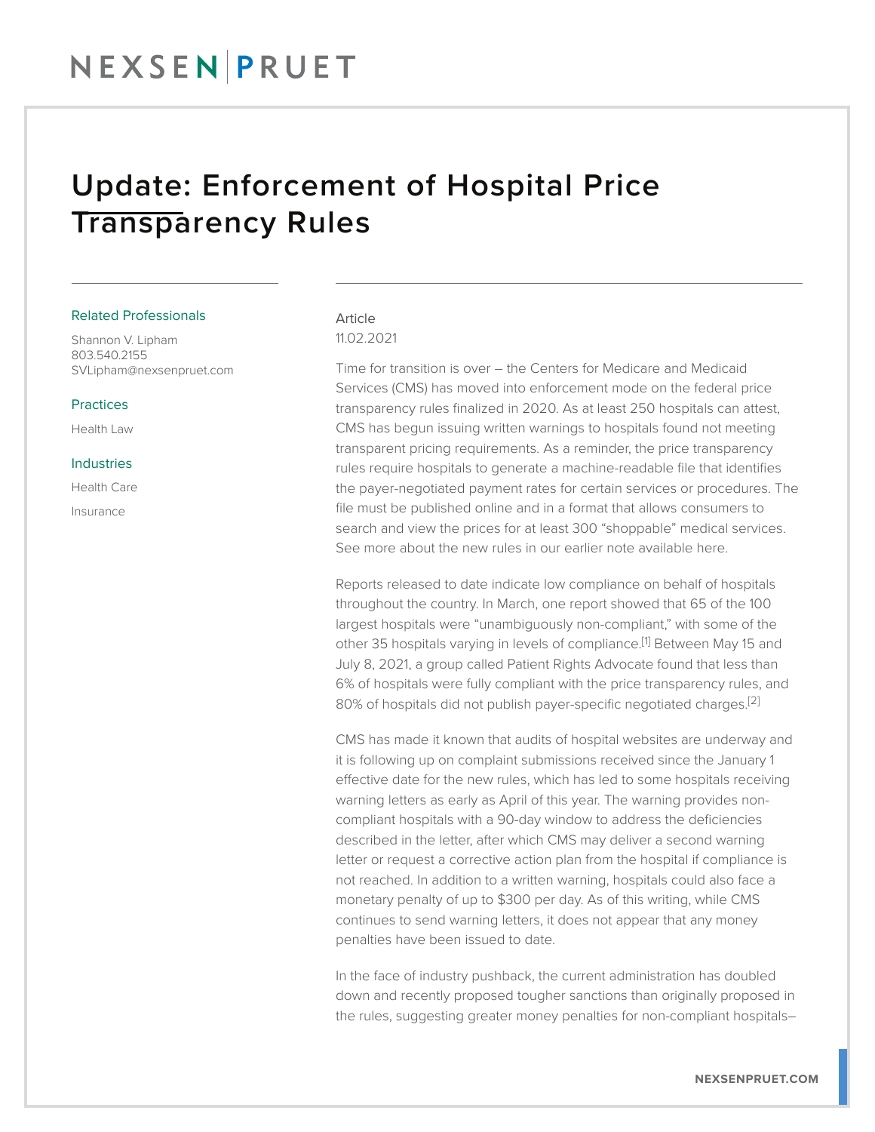## Update: Enforcement of Hospital Price Transparency Rules

#### Related Professionals

Shannon V. Lipham 803.540.2155 SVLipham@nexsenpruet.com

#### Practices

Health Law

#### Industries

Health Care Insurance

### Article 11.02.2021

Time for transition is over – the Centers for Medicare and Medicaid Services (CMS) has moved into enforcement mode on the federal price transparency rules finalized in 2020. As at least 250 hospitals can attest, CMS has begun issuing written warnings to hospitals found not meeting transparent pricing requirements. As a reminder, the price transparency rules require hospitals to generate a machine-readable file that identifies the payer-negotiated payment rates for certain services or procedures. The file must be published online and in a format that allows consumers to search and view the prices for at least 300 "shoppable" medical services. See more about the new rules in our earlier note available here.

Reports released to date indicate low compliance on behalf of hospitals throughout the country. In March, one report showed that 65 of the 100 largest hospitals were "unambiguously non-compliant," with some of the other 35 hospitals varying in levels of compliance.<sup>[1]</sup> Between May 15 and July 8, 2021, a group called Patient Rights Advocate found that less than 6% of hospitals were fully compliant with the price transparency rules, and 80% of hospitals did not publish payer-specific negotiated charges.<sup>[2]</sup>

CMS has made it known that audits of hospital websites are underway and it is following up on complaint submissions received since the January 1 effective date for the new rules, which has led to some hospitals receiving warning letters as early as April of this year. The warning provides noncompliant hospitals with a 90-day window to address the deficiencies described in the letter, after which CMS may deliver a second warning letter or request a corrective action plan from the hospital if compliance is not reached. In addition to a written warning, hospitals could also face a monetary penalty of up to \$300 per day. As of this writing, while CMS continues to send warning letters, it does not appear that any money penalties have been issued to date.

In the face of industry pushback, the current administration has doubled down and recently proposed tougher sanctions than originally proposed in the rules, suggesting greater money penalties for non-compliant hospitals–